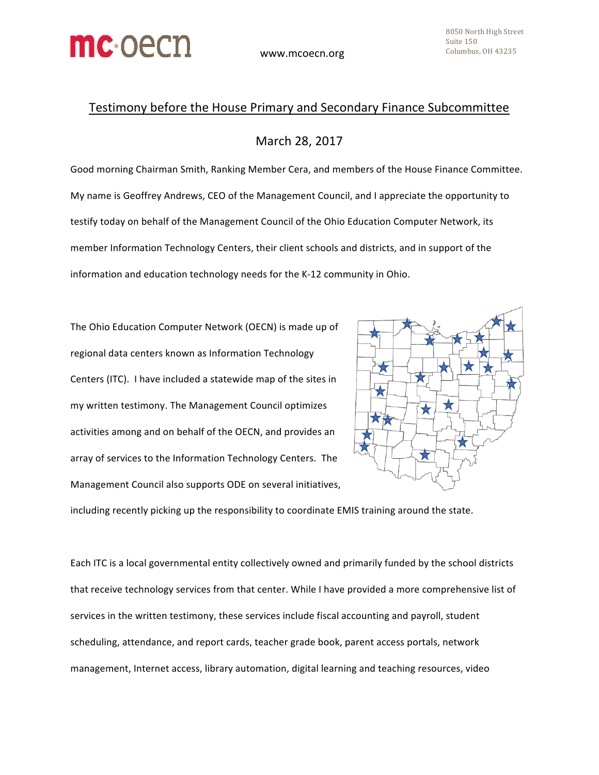

## Testimony before the House Primary and Secondary Finance Subcommittee

## March 28, 2017

Good morning Chairman Smith, Ranking Member Cera, and members of the House Finance Committee. My name is Geoffrey Andrews, CEO of the Management Council, and I appreciate the opportunity to testify today on behalf of the Management Council of the Ohio Education Computer Network, its member Information Technology Centers, their client schools and districts, and in support of the information and education technology needs for the K-12 community in Ohio.

The Ohio Education Computer Network (OECN) is made up of regional data centers known as Information Technology Centers (ITC). I have included a statewide map of the sites in my written testimony. The Management Council optimizes activities among and on behalf of the OECN, and provides an array of services to the Information Technology Centers. The Management Council also supports ODE on several initiatives,



including recently picking up the responsibility to coordinate EMIS training around the state.

Each ITC is a local governmental entity collectively owned and primarily funded by the school districts that receive technology services from that center. While I have provided a more comprehensive list of services in the written testimony, these services include fiscal accounting and payroll, student scheduling, attendance, and report cards, teacher grade book, parent access portals, network management, Internet access, library automation, digital learning and teaching resources, video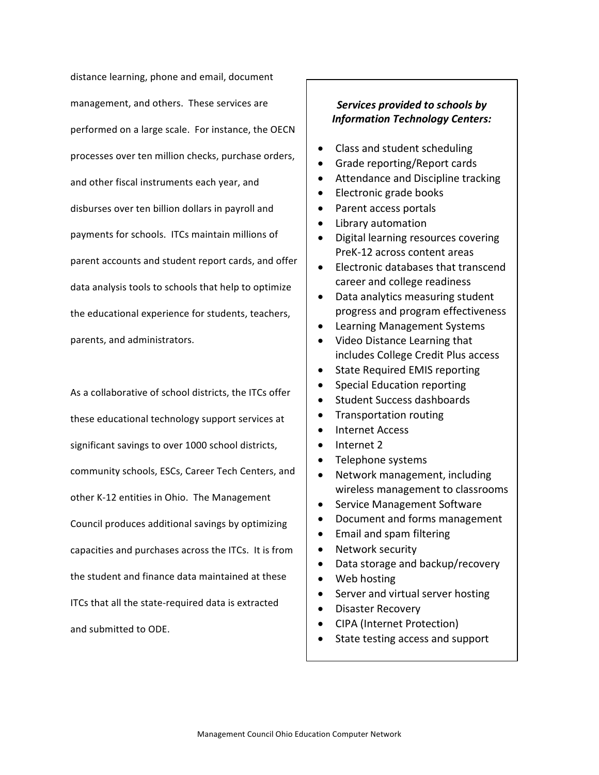distance learning, phone and email, document management, and others. These services are performed on a large scale. For instance, the OECN processes over ten million checks, purchase orders, and other fiscal instruments each year, and disburses over ten billion dollars in payroll and payments for schools. ITCs maintain millions of parent accounts and student report cards, and offer data analysis tools to schools that help to optimize the educational experience for students, teachers, parents, and administrators.

As a collaborative of school districts, the ITCs offer these educational technology support services at significant savings to over 1000 school districts, community schools, ESCs, Career Tech Centers, and other K-12 entities in Ohio. The Management Council produces additional savings by optimizing capacities and purchases across the ITCs. It is from the student and finance data maintained at these ITCs that all the state-required data is extracted and submitted to ODE.

## **Services provided to schools by** *Information Technology Centers:*

- Class and student scheduling
- Grade reporting/Report cards
- Attendance and Discipline tracking
- Electronic grade books
- Parent access portals
- Library automation
- Digital learning resources covering PreK-12 across content areas
- Electronic databases that transcend career and college readiness
- Data analytics measuring student progress and program effectiveness
- Learning Management Systems
- Video Distance Learning that includes College Credit Plus access
- State Required EMIS reporting
- Special Education reporting
- Student Success dashboards
- Transportation routing
- Internet Access
- Internet 2
- Telephone systems
- Network management, including wireless management to classrooms
- Service Management Software
- Document and forms management
- Email and spam filtering
- Network security
- Data storage and backup/recovery
- Web hosting
- Server and virtual server hosting
- Disaster Recovery
- CIPA (Internet Protection)
- State testing access and support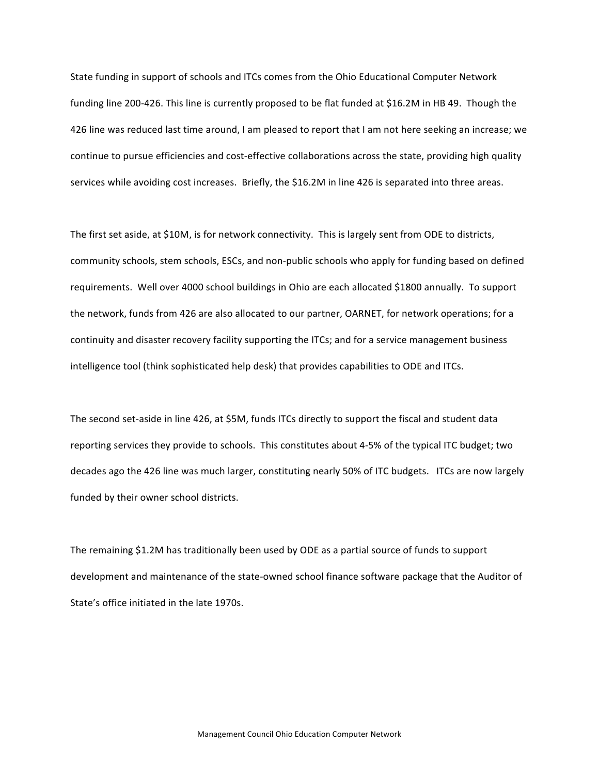State funding in support of schools and ITCs comes from the Ohio Educational Computer Network funding line 200-426. This line is currently proposed to be flat funded at \$16.2M in HB 49. Though the 426 line was reduced last time around, I am pleased to report that I am not here seeking an increase; we continue to pursue efficiencies and cost-effective collaborations across the state, providing high quality services while avoiding cost increases. Briefly, the \$16.2M in line 426 is separated into three areas.

The first set aside, at \$10M, is for network connectivity. This is largely sent from ODE to districts, community schools, stem schools, ESCs, and non-public schools who apply for funding based on defined requirements. Well over 4000 school buildings in Ohio are each allocated \$1800 annually. To support the network, funds from 426 are also allocated to our partner, OARNET, for network operations; for a continuity and disaster recovery facility supporting the ITCs; and for a service management business intelligence tool (think sophisticated help desk) that provides capabilities to ODE and ITCs.

The second set-aside in line 426, at \$5M, funds ITCs directly to support the fiscal and student data reporting services they provide to schools. This constitutes about 4-5% of the typical ITC budget; two decades ago the 426 line was much larger, constituting nearly 50% of ITC budgets. ITCs are now largely funded by their owner school districts.

The remaining \$1.2M has traditionally been used by ODE as a partial source of funds to support development and maintenance of the state-owned school finance software package that the Auditor of State's office initiated in the late 1970s.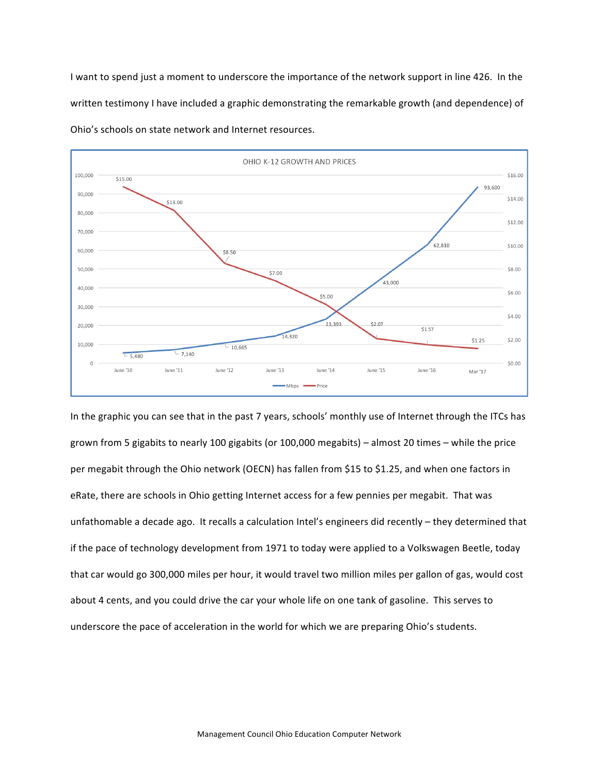I want to spend just a moment to underscore the importance of the network support in line 426. In the written testimony I have included a graphic demonstrating the remarkable growth (and dependence) of Ohio's schools on state network and Internet resources.



In the graphic you can see that in the past 7 years, schools' monthly use of Internet through the ITCs has grown from 5 gigabits to nearly 100 gigabits (or 100,000 megabits) – almost 20 times – while the price per megabit through the Ohio network (OECN) has fallen from \$15 to \$1.25, and when one factors in eRate, there are schools in Ohio getting Internet access for a few pennies per megabit. That was unfathomable a decade ago. It recalls a calculation Intel's engineers did recently - they determined that if the pace of technology development from 1971 to today were applied to a Volkswagen Beetle, today that car would go 300,000 miles per hour, it would travel two million miles per gallon of gas, would cost about 4 cents, and you could drive the car your whole life on one tank of gasoline. This serves to underscore the pace of acceleration in the world for which we are preparing Ohio's students.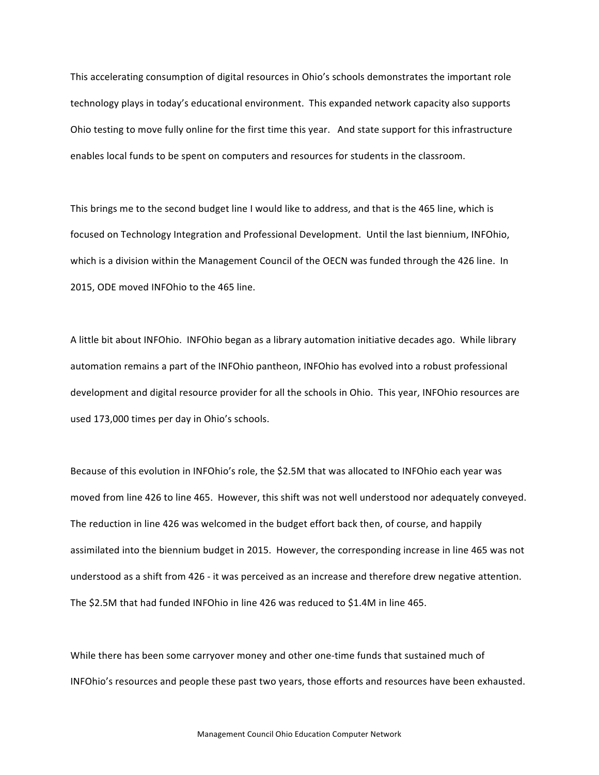This accelerating consumption of digital resources in Ohio's schools demonstrates the important role technology plays in today's educational environment. This expanded network capacity also supports Ohio testing to move fully online for the first time this year. And state support for this infrastructure enables local funds to be spent on computers and resources for students in the classroom.

This brings me to the second budget line I would like to address, and that is the 465 line, which is focused on Technology Integration and Professional Development. Until the last biennium, INFOhio, which is a division within the Management Council of the OECN was funded through the 426 line. In 2015, ODE moved INFOhio to the 465 line.

A little bit about INFOhio. INFOhio began as a library automation initiative decades ago. While library automation remains a part of the INFOhio pantheon, INFOhio has evolved into a robust professional development and digital resource provider for all the schools in Ohio. This year, INFOhio resources are used 173,000 times per day in Ohio's schools.

Because of this evolution in INFOhio's role, the \$2.5M that was allocated to INFOhio each year was moved from line 426 to line 465. However, this shift was not well understood nor adequately conveyed. The reduction in line 426 was welcomed in the budget effort back then, of course, and happily assimilated into the biennium budget in 2015. However, the corresponding increase in line 465 was not understood as a shift from 426 - it was perceived as an increase and therefore drew negative attention. The \$2.5M that had funded INFOhio in line 426 was reduced to \$1.4M in line 465.

While there has been some carryover money and other one-time funds that sustained much of INFOhio's resources and people these past two years, those efforts and resources have been exhausted.